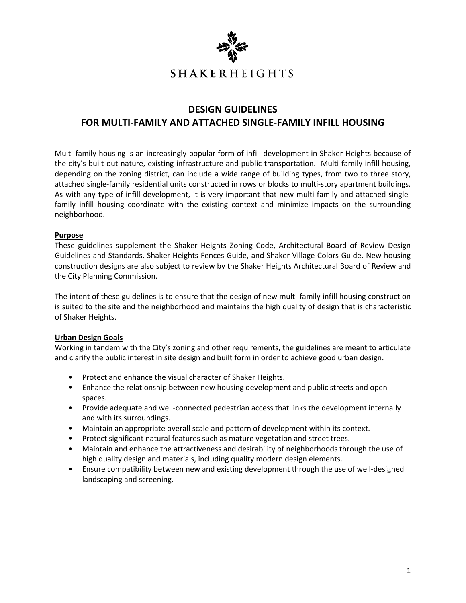

# **DESIGN GUIDELINES FOR MULTI‐FAMILY AND ATTACHED SINGLE‐FAMILY INFILL HOUSING**

Multi-family housing is an increasingly popular form of infill development in Shaker Heights because of the city's built-out nature, existing infrastructure and public transportation. Multi-family infill housing, depending on the zoning district, can include a wide range of building types, from two to three story, attached single-family residential units constructed in rows or blocks to multi-story apartment buildings. As with any type of infill development, it is very important that new multi-family and attached singlefamily infill housing coordinate with the existing context and minimize impacts on the surrounding neighborhood.

#### **Purpose**

These guidelines supplement the Shaker Heights Zoning Code, Architectural Board of Review Design Guidelines and Standards, Shaker Heights Fences Guide, and Shaker Village Colors Guide. New housing construction designs are also subject to review by the Shaker Heights Architectural Board of Review and the City Planning Commission.

The intent of these guidelines is to ensure that the design of new multi-family infill housing construction is suited to the site and the neighborhood and maintains the high quality of design that is characteristic of Shaker Heights.

### **Urban Design Goals**

Working in tandem with the City's zoning and other requirements, the guidelines are meant to articulate and clarify the public interest in site design and built form in order to achieve good urban design.

- Protect and enhance the visual character of Shaker Heights.
- Enhance the relationship between new housing development and public streets and open spaces.
- Provide adequate and well-connected pedestrian access that links the development internally and with its surroundings.
- Maintain an appropriate overall scale and pattern of development within its context.
- Protect significant natural features such as mature vegetation and street trees.
- Maintain and enhance the attractiveness and desirability of neighborhoods through the use of high quality design and materials, including quality modern design elements.
- Ensure compatibility between new and existing development through the use of well‐designed landscaping and screening.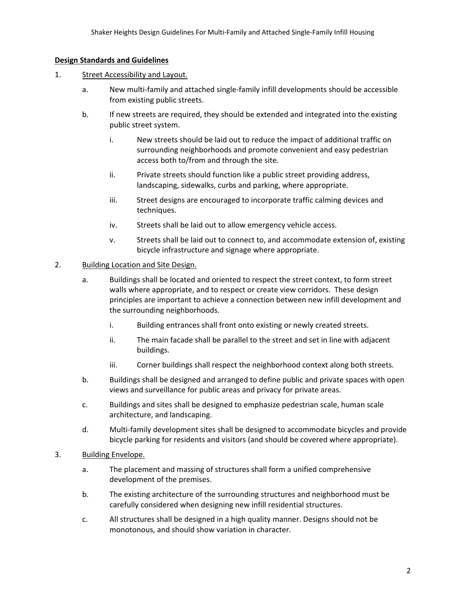#### **Design Standards and Guidelines**

- 1. Street Accessibility and Layout.
	- a. New multi-family and attached single-family infill developments should be accessible from existing public streets.
	- b. If new streets are required, they should be extended and integrated into the existing public street system.
		- i. New streets should be laid out to reduce the impact of additional traffic on surrounding neighborhoods and promote convenient and easy pedestrian access both to/from and through the site.
		- ii. Private streets should function like a public street providing address, landscaping, sidewalks, curbs and parking, where appropriate.
		- iii. Street designs are encouraged to incorporate traffic calming devices and techniques.
		- iv. Streets shall be laid out to allow emergency vehicle access.
		- v. Streets shall be laid out to connect to, and accommodate extension of, existing bicycle infrastructure and signage where appropriate.

## 2. Building Location and Site Design.

- a. Buildings shall be located and oriented to respect the street context, to form street walls where appropriate, and to respect or create view corridors. These design principles are important to achieve a connection between new infill development and the surrounding neighborhoods.
	- i. Building entrances shall front onto existing or newly created streets.
	- ii. The main facade shall be parallel to the street and set in line with adjacent buildings.
	- iii. Corner buildings shall respect the neighborhood context along both streets.
- b. Buildings shall be designed and arranged to define public and private spaces with open views and surveillance for public areas and privacy for private areas.
- c. Buildings and sites shall be designed to emphasize pedestrian scale, human scale architecture, and landscaping.
- d. Multi‐family development sites shall be designed to accommodate bicycles and provide bicycle parking for residents and visitors (and should be covered where appropriate).
- 3. Building Envelope.
	- a. The placement and massing of structures shall form a unified comprehensive development of the premises.
	- b. The existing architecture of the surrounding structures and neighborhood must be carefully considered when designing new infill residential structures.
	- c. All structures shall be designed in a high quality manner. Designs should not be monotonous, and should show variation in character.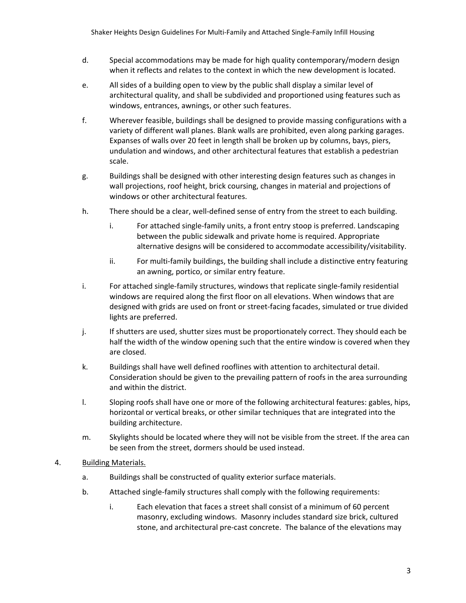- d. Special accommodations may be made for high quality contemporary/modern design when it reflects and relates to the context in which the new development is located.
- e. All sides of a building open to view by the public shall display a similar level of architectural quality, and shall be subdivided and proportioned using features such as windows, entrances, awnings, or other such features.
- f. Wherever feasible, buildings shall be designed to provide massing configurations with a variety of different wall planes. Blank walls are prohibited, even along parking garages. Expanses of walls over 20 feet in length shall be broken up by columns, bays, piers, undulation and windows, and other architectural features that establish a pedestrian scale.
- g. Buildings shall be designed with other interesting design features such as changes in wall projections, roof height, brick coursing, changes in material and projections of windows or other architectural features.
- h. There should be a clear, well-defined sense of entry from the street to each building.
	- i. For attached single‐family units, a front entry stoop is preferred. Landscaping between the public sidewalk and private home is required. Appropriate alternative designs will be considered to accommodate accessibility/visitability.
	- ii. For multi‐family buildings, the building shall include a distinctive entry featuring an awning, portico, or similar entry feature.
- i. For attached single‐family structures, windows that replicate single‐family residential windows are required along the first floor on all elevations. When windows that are designed with grids are used on front or street‐facing facades, simulated or true divided lights are preferred.
- j. If shutters are used, shutter sizes must be proportionately correct. They should each be half the width of the window opening such that the entire window is covered when they are closed.
- k. Buildings shall have well defined rooflines with attention to architectural detail. Consideration should be given to the prevailing pattern of roofs in the area surrounding and within the district.
- l. Sloping roofs shall have one or more of the following architectural features: gables, hips, horizontal or vertical breaks, or other similar techniques that are integrated into the building architecture.
- m. Skylights should be located where they will not be visible from the street. If the area can be seen from the street, dormers should be used instead.

# 4. Building Materials.

- a. Buildings shall be constructed of quality exterior surface materials.
- b. Attached single‐family structures shall comply with the following requirements:
	- i. Each elevation that faces a street shall consist of a minimum of 60 percent masonry, excluding windows. Masonry includes standard size brick, cultured stone, and architectural pre‐cast concrete. The balance of the elevations may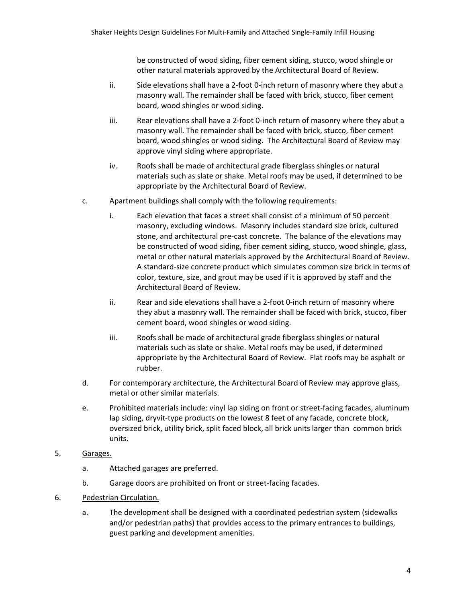be constructed of wood siding, fiber cement siding, stucco, wood shingle or other natural materials approved by the Architectural Board of Review.

- ii. Side elevations shall have a 2‐foot 0‐inch return of masonry where they abut a masonry wall. The remainder shall be faced with brick, stucco, fiber cement board, wood shingles or wood siding.
- iii. Rear elevations shall have a 2-foot 0-inch return of masonry where they abut a masonry wall. The remainder shall be faced with brick, stucco, fiber cement board, wood shingles or wood siding. The Architectural Board of Review may approve vinyl siding where appropriate.
- iv. Roofs shall be made of architectural grade fiberglass shingles or natural materials such as slate or shake. Metal roofs may be used, if determined to be appropriate by the Architectural Board of Review.
- c. Apartment buildings shall comply with the following requirements:
	- i. Each elevation that faces a street shall consist of a minimum of 50 percent masonry, excluding windows. Masonry includes standard size brick, cultured stone, and architectural pre‐cast concrete. The balance of the elevations may be constructed of wood siding, fiber cement siding, stucco, wood shingle, glass, metal or other natural materials approved by the Architectural Board of Review. A standard‐size concrete product which simulates common size brick in terms of color, texture, size, and grout may be used if it is approved by staff and the Architectural Board of Review.
	- ii. Rear and side elevations shall have a 2-foot 0-inch return of masonry where they abut a masonry wall. The remainder shall be faced with brick, stucco, fiber cement board, wood shingles or wood siding.
	- iii. Roofs shall be made of architectural grade fiberglass shingles or natural materials such as slate or shake. Metal roofs may be used, if determined appropriate by the Architectural Board of Review. Flat roofs may be asphalt or rubber.
- d. For contemporary architecture, the Architectural Board of Review may approve glass, metal or other similar materials.
- e. Prohibited materials include: vinyl lap siding on front or street‐facing facades, aluminum lap siding, dryvit-type products on the lowest 8 feet of any facade, concrete block, oversized brick, utility brick, split faced block, all brick units larger than common brick units.
- 5. Garages.
	- a. Attached garages are preferred.
	- b. Garage doors are prohibited on front or street-facing facades.
- 6. Pedestrian Circulation.
	- a. The development shall be designed with a coordinated pedestrian system (sidewalks and/or pedestrian paths) that provides access to the primary entrances to buildings, guest parking and development amenities.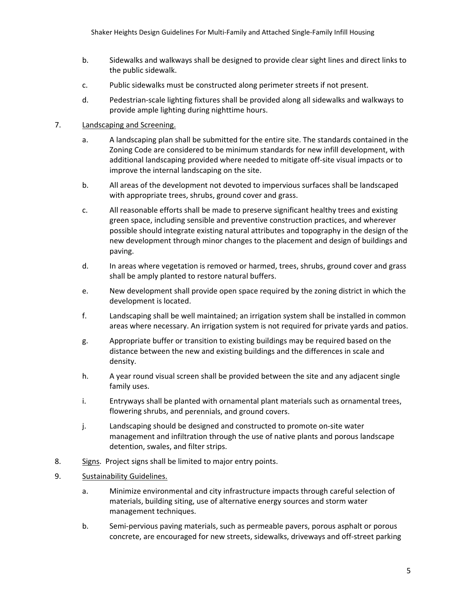- b. Sidewalks and walkways shall be designed to provide clear sight lines and direct links to the public sidewalk.
- c. Public sidewalks must be constructed along perimeter streets if not present.
- d. Pedestrian‐scale lighting fixtures shall be provided along all sidewalks and walkways to provide ample lighting during nighttime hours.

## 7. Landscaping and Screening.

- a. A landscaping plan shall be submitted for the entire site. The standards contained in the Zoning Code are considered to be minimum standards for new infill development, with additional landscaping provided where needed to mitigate off‐site visual impacts or to improve the internal landscaping on the site.
- b. All areas of the development not devoted to impervious surfaces shall be landscaped with appropriate trees, shrubs, ground cover and grass.
- c. All reasonable efforts shall be made to preserve significant healthy trees and existing green space, including sensible and preventive construction practices, and wherever possible should integrate existing natural attributes and topography in the design of the new development through minor changes to the placement and design of buildings and paving.
- d. In areas where vegetation is removed or harmed, trees, shrubs, ground cover and grass shall be amply planted to restore natural buffers.
- e. New development shall provide open space required by the zoning district in which the development is located.
- f. Landscaping shall be well maintained; an irrigation system shall be installed in common areas where necessary. An irrigation system is not required for private yards and patios.
- g. Appropriate buffer or transition to existing buildings may be required based on the distance between the new and existing buildings and the differences in scale and density.
- h. A year round visual screen shall be provided between the site and any adjacent single family uses.
- i. Entryways shall be planted with ornamental plant materials such as ornamental trees, flowering shrubs, and perennials, and ground covers.
- j. Landscaping should be designed and constructed to promote on‐site water management and infiltration through the use of native plants and porous landscape detention, swales, and filter strips.
- 8. Signs. Project signs shall be limited to major entry points.
- 9. Sustainability Guidelines.
	- a. Minimize environmental and city infrastructure impacts through careful selection of materials, building siting, use of alternative energy sources and storm water management techniques.
	- b. Semi‐pervious paving materials, such as permeable pavers, porous asphalt or porous concrete, are encouraged for new streets, sidewalks, driveways and off‐street parking